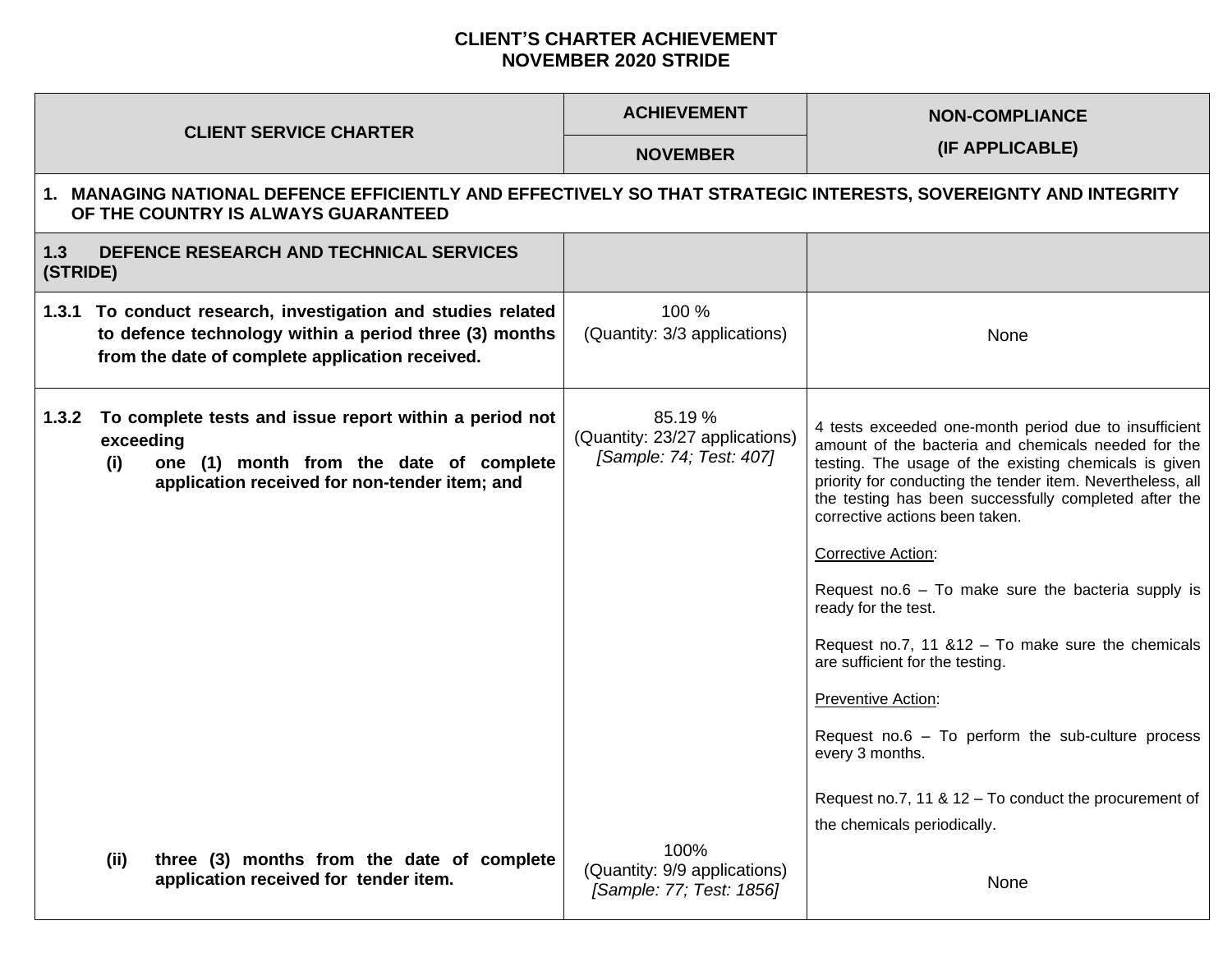## **CLIENT'S CHARTER ACHIEVEMENT NOVEMBER 2020 STRIDE**

| <b>CLIENT SERVICE CHARTER</b>                                                                                                                                                   | <b>ACHIEVEMENT</b>                                                   | <b>NON-COMPLIANCE</b>                                                                                                                                                                                                                                                                                                                                                                                                                                                                                                                                                                                                                                                                                                 |  |
|---------------------------------------------------------------------------------------------------------------------------------------------------------------------------------|----------------------------------------------------------------------|-----------------------------------------------------------------------------------------------------------------------------------------------------------------------------------------------------------------------------------------------------------------------------------------------------------------------------------------------------------------------------------------------------------------------------------------------------------------------------------------------------------------------------------------------------------------------------------------------------------------------------------------------------------------------------------------------------------------------|--|
|                                                                                                                                                                                 | <b>NOVEMBER</b>                                                      | (IF APPLICABLE)                                                                                                                                                                                                                                                                                                                                                                                                                                                                                                                                                                                                                                                                                                       |  |
| 1. MANAGING NATIONAL DEFENCE EFFICIENTLY AND EFFECTIVELY SO THAT STRATEGIC INTERESTS, SOVEREIGNTY AND INTEGRITY<br>OF THE COUNTRY IS ALWAYS GUARANTEED                          |                                                                      |                                                                                                                                                                                                                                                                                                                                                                                                                                                                                                                                                                                                                                                                                                                       |  |
| DEFENCE RESEARCH AND TECHNICAL SERVICES<br>1.3<br>(STRIDE)                                                                                                                      |                                                                      |                                                                                                                                                                                                                                                                                                                                                                                                                                                                                                                                                                                                                                                                                                                       |  |
| 1.3.1 To conduct research, investigation and studies related<br>to defence technology within a period three (3) months<br>from the date of complete application received.       | 100 %<br>(Quantity: 3/3 applications)                                | None                                                                                                                                                                                                                                                                                                                                                                                                                                                                                                                                                                                                                                                                                                                  |  |
| To complete tests and issue report within a period not<br>1.3.2<br>exceeding<br>one (1) month from the date of complete<br>(i)<br>application received for non-tender item; and | 85.19 %<br>(Quantity: 23/27 applications)<br>[Sample: 74; Test: 407] | 4 tests exceeded one-month period due to insufficient<br>amount of the bacteria and chemicals needed for the<br>testing. The usage of the existing chemicals is given<br>priority for conducting the tender item. Nevertheless, all<br>the testing has been successfully completed after the<br>corrective actions been taken.<br>Corrective Action:<br>Request no.6 $-$ To make sure the bacteria supply is<br>ready for the test.<br>Request no.7, 11 $&12 - To$ make sure the chemicals<br>are sufficient for the testing.<br>Preventive Action:<br>Request no.6 $-$ To perform the sub-culture process<br>every 3 months.<br>Request no.7, 11 & 12 - To conduct the procurement of<br>the chemicals periodically. |  |
| three (3) months from the date of complete<br>(ii)<br>application received for tender item.                                                                                     | 100%<br>(Quantity: 9/9 applications)<br>[Sample: 77; Test: 1856]     | None                                                                                                                                                                                                                                                                                                                                                                                                                                                                                                                                                                                                                                                                                                                  |  |